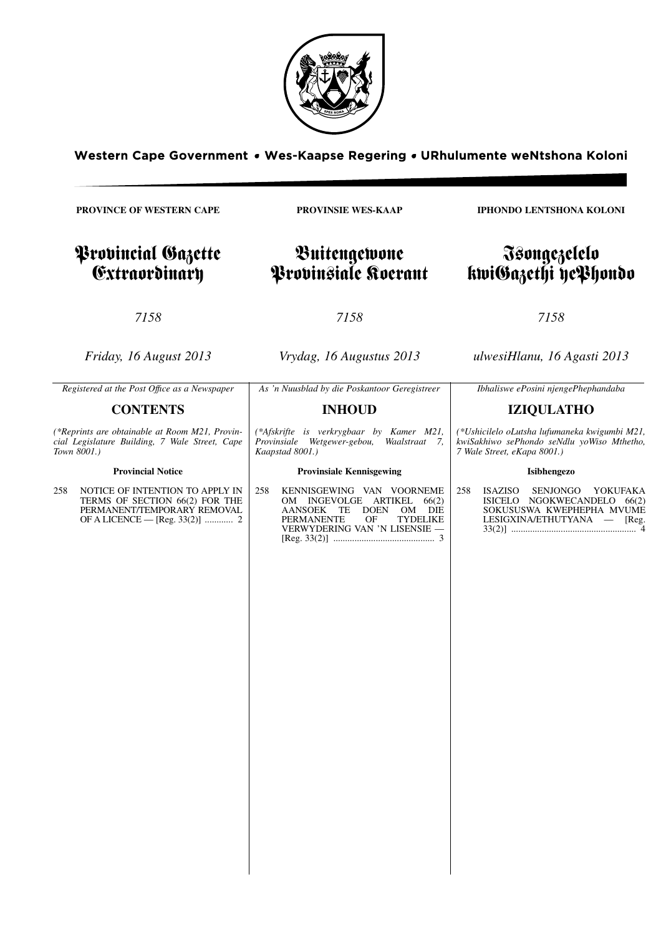

Western Cape Government • Wes-Kaapse Regering • URhulumente weNtshona Koloni

**PROVINCE OF WESTERN CAPE**

# Provincial Gazette Extraordinary

**PROVINSIE WES-KAAP**

# Buitengewone Provinsiale Koerant

*7158*

*Friday, 16 August 2013*

*Vrydag, 16 Augustus 2013*

*7158*

*ulwesiHlanu, 16 Agasti 2013*

*Ibhaliswe ePosini njengePhephandaba*

*7158*

*As 'n Nuusblad by die Poskantoor Geregistreer*

# **INHOUD**

*(\*Afskrifte is verkrygbaar by Kamer M21, Provinsiale Wetgewer-gebou, Kaapstad 8001.)*

# **Provinsiale Kennisgewing**

258 KENNISGEWING VAN VOORNEME OM INGEVOLGE ARTIKEL 66(2) AANSOEK TE DOEN OM DIE PERMANENTE OF TYDELIKE VERMANENTE OF TYDELIKE<br>VERWYDERING VAN 'N LISENSIE — [Reg. 33(2)] ........................................... 3

**IZIQULATHO** *(\*Ushicilelo oLutsha lufumaneka kwigumbi M21, kwiSakhiwo sePhondo seNdlu yoWiso Mthetho,*

258 ISAZISO SENJONGO YOKUFAKA ISICELO NGOKWECANDELO 66(2) SOKUSUSWA KWEPHEPHA MVUME LESIGXINA/ETHUTYANA — [Reg. 33(2)] ..................................................... 4

*Registered at the Post Offıce as a Newspaper*

# **CONTENTS**

*(\*Reprints are obtainable at Room M21, Provincial Legislature Building, 7 Wale Street, Cape Town 8001.)*

# **Provincial Notice**

258 NOTICE OF INTENTION TO APPLY IN TERMS OF SECTION 66(2) FOR THE PERMANENT/TEMPORARY REMOVAL OF A LICENCE — [Reg. 33(2)] ............ 2 **IPHONDO LENTSHONA KOLONI**

# Isongezelelo kwiGazethi yePhondo

**Isibhengezo**

*7 Wale Street, eKapa 8001.)*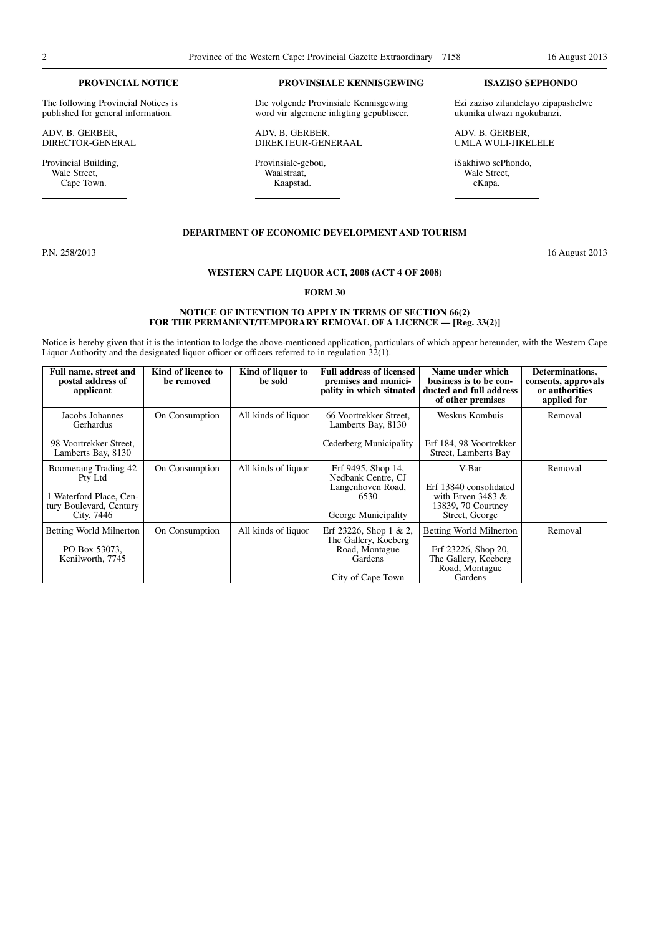#### **PROVINCIAL NOTICE**

The following Provincial Notices is published for general information.

ADV. B. GERBER, DIRECTOR-GENERAL

Provincial Building, Wale Street, Cape Town.

#### **PROVINSIALE KENNISGEWING**

Die volgende Provinsiale Kennisgewing word vir algemene inligting gepubliseer.

ADV. B. GERBER, DIREKTEUR-GENERAAL

Provinsiale-gebou, Waalstraat, Kaapstad.

#### **ISAZISO SEPHONDO**

Ezi zaziso zilandelayo zipapashelwe ukunika ulwazi ngokubanzi.

ADV. B. GERBER, UMLA WULI-JIKELELE

iSakhiwo sePhondo, Wale Street, eKapa.

#### **DEPARTMENT OF ECONOMIC DEVELOPMENT AND TOURISM**

P.N. 258/2013 16 August 2013

# **WESTERN CAPE LIQUOR ACT, 2008 (ACT 4 OF 2008)**

#### **FORM 30**

#### **NOTICE OF INTENTION TO APPLY IN TERMS OF SECTION 66(2)** FOR THE PERMANENT/TEMPORARY REMOVAL OF A LICENCE — [Reg. 33(2)]

Notice is hereby given that it is the intention to lodge the above-mentioned application, particulars of which appear hereunder, with the Western Cape Liquor Authority and the designated liquor officer or officers referred to in regulation 32(1).

| Full name, street and<br>postal address of<br>applicant                                             | Kind of licence to<br>be removed | Kind of liquor to<br>be sold | <b>Full address of licensed</b><br>premises and munici-<br>pality in which situated              | Name under which<br>business is to be con-<br>ducted and full address<br>of other premises                 | Determinations,<br>consents, approvals<br>or authorities<br>applied for |
|-----------------------------------------------------------------------------------------------------|----------------------------------|------------------------------|--------------------------------------------------------------------------------------------------|------------------------------------------------------------------------------------------------------------|-------------------------------------------------------------------------|
| Jacobs Johannes<br>Gerhardus                                                                        | On Consumption                   | All kinds of liquor          | 66 Voortrekker Street,<br>Lamberts Bay, 8130                                                     | Weskus Kombuis                                                                                             | Removal                                                                 |
| 98 Voortrekker Street.<br>Lamberts Bay, 8130                                                        |                                  |                              | Cederberg Municipality                                                                           | Erf 184, 98 Voortrekker<br>Street, Lamberts Bay                                                            |                                                                         |
| Boomerang Trading 42<br>Pty Ltd<br>1 Waterford Place, Cen-<br>tury Boulevard, Century<br>City, 7446 | On Consumption                   | All kinds of liquor          | Erf 9495, Shop 14,<br>Nedbank Centre, CJ<br>Langenhoven Road,<br>6530<br>George Municipality     | V-Bar<br>Erf 13840 consolidated<br>with Erven 3483 $\&$<br>13839, 70 Courtney<br>Street, George            | Removal                                                                 |
| Betting World Milnerton<br>PO Box 53073,<br>Kenilworth, 7745                                        | On Consumption                   | All kinds of liquor          | Erf 23226, Shop 1 & 2,<br>The Gallery, Koeberg<br>Road, Montague<br>Gardens<br>City of Cape Town | <b>Betting World Milnerton</b><br>Erf 23226, Shop 20,<br>The Gallery, Koeberg<br>Road, Montague<br>Gardens | Removal                                                                 |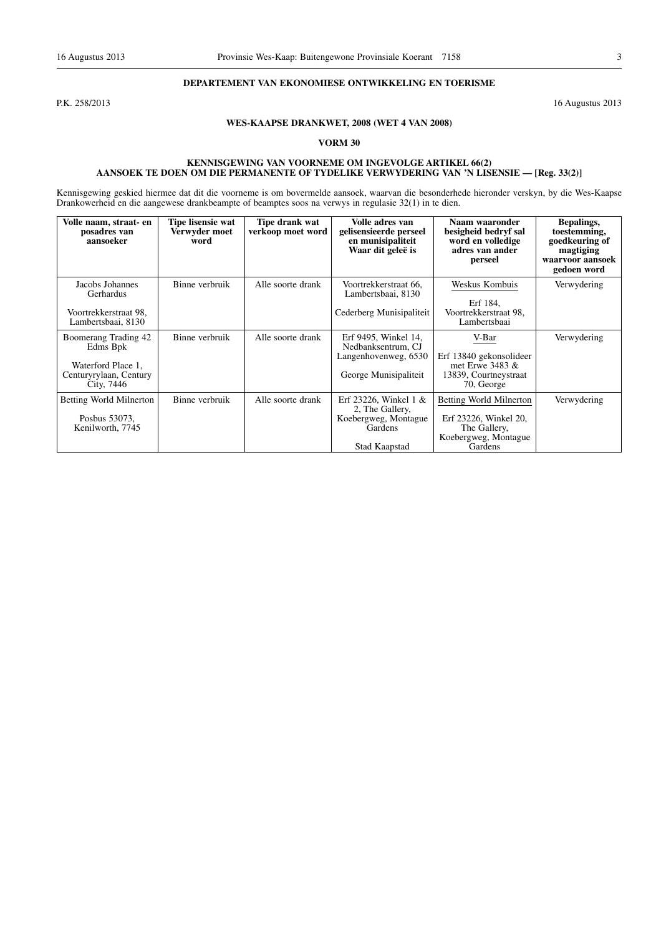### **DEPARTEMENT VAN EKONOMIESE ONTWIKKELING EN TOERISME**

P.K. 258/2013 16 Augustus 2013

# **WES-KAAPSE DRANKWET, 2008 (WET 4 VAN 2008)**

#### **VORM 30**

#### **KENNISGEWING VAN VOORNEME OM INGEVOLGE ARTIKEL 66(2) AANSOEK TE DOEN OM DIE PERMANENTE OF TYDELIKE VERWYDERING VAN 'N LISENSIE — [Reg. 33(2)]**

Kennisgewing geskied hiermee dat dit die voorneme is om bovermelde aansoek, waarvan die besonderhede hieronder verskyn, by die Wes-Kaapse Drankowerheid en die aangewese drankbeampte of beamptes soos na verwys in regulasie 32(1) in te dien.

| Volle naam, straat- en<br>posadres van<br>aansoeker                                            | Tipe lisensie wat<br>Verwyder moet<br>word | Tipe drank wat<br>verkoop moet word | Volle adres van<br>gelisensieerde perseel<br>en munisipaliteit<br>Waar dit geleë is             | Naam waaronder<br>besigheid bedryf sal<br>word en volledige<br>adres van ander<br>perseel           | Bepalings,<br>toestemming,<br>goedkeuring of<br>magtiging<br>waarvoor aansoek<br>gedoen word |
|------------------------------------------------------------------------------------------------|--------------------------------------------|-------------------------------------|-------------------------------------------------------------------------------------------------|-----------------------------------------------------------------------------------------------------|----------------------------------------------------------------------------------------------|
| Jacobs Johannes<br>Gerhardus<br>Voortrekkerstraat 98,<br>Lambertsbaai, 8130                    | Binne verbruik                             | Alle soorte drank                   | Voortrekkerstraat 66.<br>Lambertsbaai, 8130<br>Cederberg Munisipaliteit                         | Weskus Kombuis<br>Erf 184.<br>Voortrekkerstraat 98.<br>Lambertsbaai                                 | Verwydering                                                                                  |
| Boomerang Trading 42<br>Edms Bpk<br>Waterford Place 1,<br>Centuryrylaan, Century<br>City, 7446 | Binne verbruik                             | Alle soorte drank                   | Erf 9495, Winkel 14,<br>Nedbanksentrum, CJ<br>Langenhovenweg, 6530<br>George Munisipaliteit     | V-Bar<br>Erf 13840 gekonsolideer<br>met Erwe 3483 $\&$<br>13839, Courtneystraat<br>70, George       | Verwydering                                                                                  |
| Betting World Milnerton<br>Posbus 53073.<br>Kenilworth, 7745                                   | Binne verbruik                             | Alle soorte drank                   | Erf 23226, Winkel $1 \&$<br>2, The Gallery,<br>Koebergweg, Montague<br>Gardens<br>Stad Kaapstad | Betting World Milnerton<br>Erf 23226, Winkel 20,<br>The Gallery,<br>Koebergweg, Montague<br>Gardens | Verwydering                                                                                  |